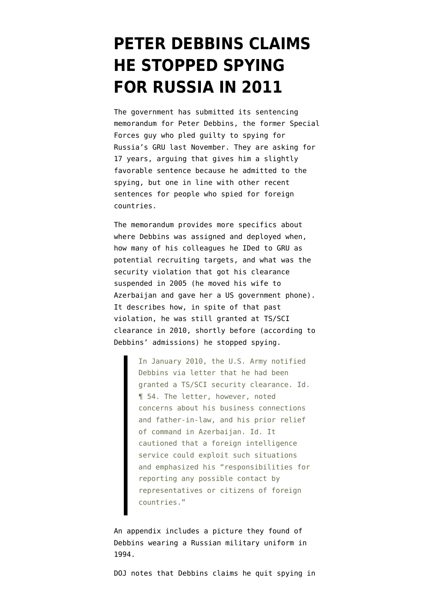## **[PETER DEBBINS CLAIMS](https://www.emptywheel.net/2021/05/08/peter-debbins-claims-he-stopped-spying-for-russia-in-2011/) [HE STOPPED SPYING](https://www.emptywheel.net/2021/05/08/peter-debbins-claims-he-stopped-spying-for-russia-in-2011/) [FOR RUSSIA IN 2011](https://www.emptywheel.net/2021/05/08/peter-debbins-claims-he-stopped-spying-for-russia-in-2011/)**

The government has submitted its [sentencing](https://storage.courtlistener.com/recap/gov.uscourts.vaed.484018/gov.uscourts.vaed.484018.41.0.pdf) [memorandum](https://storage.courtlistener.com/recap/gov.uscourts.vaed.484018/gov.uscourts.vaed.484018.41.0.pdf) for Peter Debbins, the former Special Forces guy who pled guilty to spying for Russia's GRU last November. They are asking for 17 years, arguing that gives him a slightly favorable sentence because he admitted to the spying, but one in line with other recent sentences for people who spied for foreign countries.

The memorandum provides more specifics about where Debbins was assigned and deployed when, how many of his colleagues he IDed to GRU as potential recruiting targets, and what was the security violation that got his clearance suspended in 2005 (he moved his wife to Azerbaijan and gave her a US government phone). It describes how, in spite of that past violation, he was still granted at TS/SCI clearance in 2010, shortly before (according to Debbins' admissions) he stopped spying.

> In January 2010, the U.S. Army notified Debbins via letter that he had been granted a TS/SCI security clearance. Id. ¶ 54. The letter, however, noted concerns about his business connections and father-in-law, and his prior relief of command in Azerbaijan. Id. It cautioned that a foreign intelligence service could exploit such situations and emphasized his "responsibilities for reporting any possible contact by representatives or citizens of foreign countries."

An appendix includes a picture they found of Debbins wearing a Russian military uniform in 1994.

DOJ notes that Debbins claims he quit spying in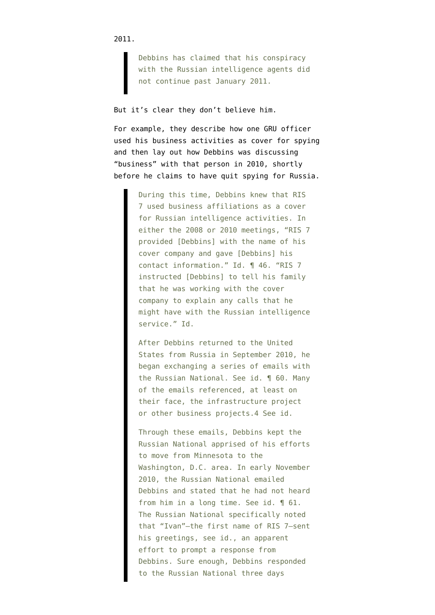2011.

Debbins has claimed that his conspiracy with the Russian intelligence agents did not continue past January 2011.

But it's clear they don't believe him.

For example, they describe how one GRU officer used his business activities as cover for spying and then lay out how Debbins was discussing "business" with that person in 2010, shortly before he claims to have quit spying for Russia.

> During this time, Debbins knew that RIS 7 used business affiliations as a cover for Russian intelligence activities. In either the 2008 or 2010 meetings, "RIS 7 provided [Debbins] with the name of his cover company and gave [Debbins] his contact information." Id. ¶ 46. "RIS 7 instructed [Debbins] to tell his family that he was working with the cover company to explain any calls that he might have with the Russian intelligence service." Id.

> After Debbins returned to the United States from Russia in September 2010, he began exchanging a series of emails with the Russian National. See id. ¶ 60. Many of the emails referenced, at least on their face, the infrastructure project or other business projects.4 See id.

> Through these emails, Debbins kept the Russian National apprised of his efforts to move from Minnesota to the Washington, D.C. area. In early November 2010, the Russian National emailed Debbins and stated that he had not heard from him in a long time. See id. ¶ 61. The Russian National specifically noted that "Ivan"—the first name of RIS 7—sent his greetings, see id., an apparent effort to prompt a response from Debbins. Sure enough, Debbins responded to the Russian National three days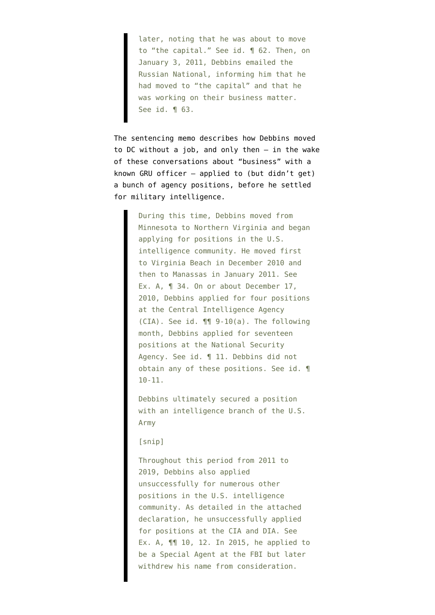later, noting that he was about to move to "the capital." See id. ¶ 62. Then, on January 3, 2011, Debbins emailed the Russian National, informing him that he had moved to "the capital" and that he was working on their business matter. See id. ¶ 63.

The sentencing memo describes how Debbins moved to DC without a job, and only then — in the wake of these conversations about "business" with a known GRU officer — applied to (but didn't get) a bunch of agency positions, before he settled for military intelligence.

> During this time, Debbins moved from Minnesota to Northern Virginia and began applying for positions in the U.S. intelligence community. He moved first to Virginia Beach in December 2010 and then to Manassas in January 2011. See Ex. A, ¶ 34. On or about December 17, 2010, Debbins applied for four positions at the Central Intelligence Agency (CIA). See id. ¶¶ 9-10(a). The following month, Debbins applied for seventeen positions at the National Security Agency. See id. ¶ 11. Debbins did not obtain any of these positions. See id. ¶ 10-11.

Debbins ultimately secured a position with an intelligence branch of the U.S. Army

## [snip]

Throughout this period from 2011 to 2019, Debbins also applied unsuccessfully for numerous other positions in the U.S. intelligence community. As detailed in the attached declaration, he unsuccessfully applied for positions at the CIA and DIA. See Ex. A, ¶¶ 10, 12. In 2015, he applied to be a Special Agent at the FBI but later withdrew his name from consideration.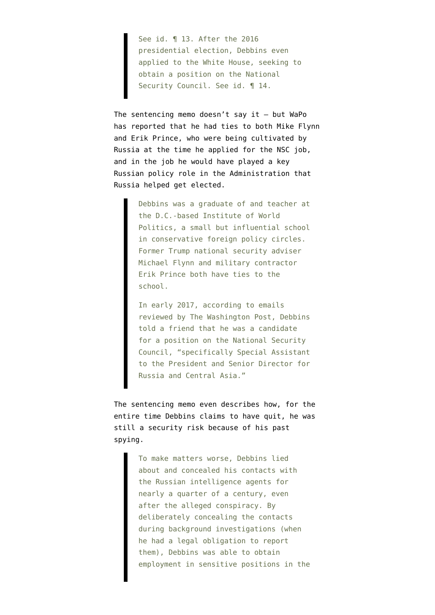See id. ¶ 13. After the 2016 presidential election, Debbins even applied to the White House, seeking to obtain a position on the National Security Council. See id. ¶ 14.

The sentencing memo doesn't say it  $-$  but [WaPo](https://www.washingtonpost.com/local/legal-issues/green-beret-spy-russia/2020/11/18/a36d7e56-290e-11eb-92b7-6ef17b3fe3b4_story.html) [has reported](https://www.washingtonpost.com/local/legal-issues/green-beret-spy-russia/2020/11/18/a36d7e56-290e-11eb-92b7-6ef17b3fe3b4_story.html) that he had ties to both Mike Flynn and Erik Prince, who were being cultivated by Russia at the time he applied for the NSC job, and in the job he would have played a key Russian policy role in the Administration that Russia helped get elected.

> Debbins was a graduate of and teacher at the D.C.-based Institute of World Politics, a small but influential school in conservative foreign policy circles. Former Trump national security adviser Michael Flynn and military contractor Erik Prince both have ties to the school.

> In early 2017, according to emails reviewed by The Washington Post, Debbins told a friend that he was a candidate for a position on the National Security Council, "specifically Special Assistant to the President and Senior Director for Russia and Central Asia."

The sentencing memo even describes how, for the entire time Debbins claims to have quit, he was still a security risk because of his past spying.

> To make matters worse, Debbins lied about and concealed his contacts with the Russian intelligence agents for nearly a quarter of a century, even after the alleged conspiracy. By deliberately concealing the contacts during background investigations (when he had a legal obligation to report them), Debbins was able to obtain employment in sensitive positions in the